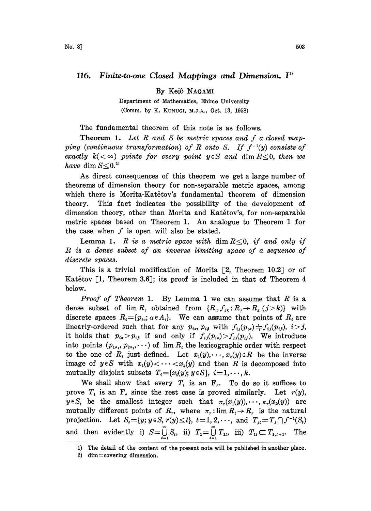## 116. Finite-to-one Closed Mappings and Dimension. I<sup>11</sup>

By Keiô NAGAMI

Department of Mathematics, Ehime University (Comm. by K. KUNUGI, M.J.A., Oct. 13, 1958)

The fundamental theorem of this note is as follows.

**Theorem 1.** Let  $R$  and  $S$  be metric spaces and  $f$  a closed mapping (continuous transformation) of R onto S. If  $f^{-1}(y)$  consists of exactly  $k(<\infty)$  points for every point  $y \in S$  and dim  $R \leq 0$ , then we have dim  $S \leq 0.^2$ 

As direct consequences of this theorem we get a large number of theorems of dimension theory for non-separable metric spaces, among which there is Morita-Katetov's fundamental theorem of dimension theory. This fact indicates the possibility of the development of dimension theory, other than Morita and Katetov's, for non-separable metric spaces based on Theorem 1. An analogue to Theorem <sup>1</sup> for the case when  $f$  is open will also be stated.

**Lemma 1.** R is a metric space with dim  $R \leq 0$ , if and only if R is <sup>a</sup> dense subset of an inverse limiting space of <sup>a</sup> sequence of discrete spaces.

This is a trivial modification of Morita  $[2,$  Theorem 10.2 or of Katětov  $\lceil 1, \text{ Theorem 3.6} \rceil$ ; its proof is included in that of Theorem 4 below.

*Proof of Theorem* 1. By Lemma 1 we can assume that  $R$  is a dense subset of  $\lim R_i$  obtained from  $\{R_i, f_{jk}: R_j \to R_k (j > k)\}$  with discrete spaces  $R_i = \{p_{i,j}, \alpha \in A_i\}$ . We can assume that points of  $R_i$  are linearly-ordered such that for any  $p_{i\alpha}$ ,  $p_{i\beta}$  with  $f_{ij}(p_{i\alpha}) \neq f_{ij}(p_{i\beta}), i>j$ , it holds that  $p_{i\alpha} > p_{i\beta}$  if and only if  $f_{ij}(p_{i\alpha}) > f_{ij}(p_{i\beta})$ . We introduce into points  $(p_{1\alpha_1}, p_{2\alpha_2}, \dots)$  of  $\lim R_i$  the lexicographic order with respect to the one of  $R_i$  just defined. Let  $x_1(y), \dots, x_k(y) \in R$  be the inverse image of  $y \in S$  with  $x_1(y) \leq \cdots \leq x_k(y)$  and then R is decomposed into mutually disjoint subsets  $T_i = \{x_i(y); y \in S\}, i=1,\dots,k.$ 

We shall show that every  $T_i$  is an  $F_i$ . To do so it suffices to prove  $T_1$  is an  $F_s$  since the rest case is proved similarly. Let  $r(y)$ ,  $y \in S$ , be the smallest integer such that  $\pi_r(x_1(y)), \dots, \pi_r(x_k(y))$  are mutually different points of  $R_r$ , where  $\pi_r: \lim R_i \to R_r$  is the natural projection. Let  $S_i = \{y; y \in S, r(y) \le t\}$ ,  $t = 1, 2, \dots$ , and  $T_{jt} = T_j \cap f^{-1}(S_t)$ mutually different points of  $R_r$ , where  $\pi_r: \lim R_i \to R_r$  is the natural and then evidently i)  $S = \bigcup_{i=1} S_i$ , ii)  $T_i = \bigcup_{i=1} T_{1i}$ , iii)  $T_{1i} \subset T_{1,i+1}$ . The

<sup>1)</sup> The detail of the content of the present note will be published in another place.

<sup>2)</sup> dim  $=$  covering dimension.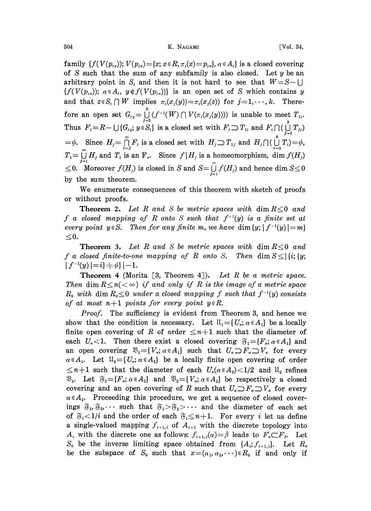family  $\{f(V(p_{t\alpha})); V(p_{t\alpha})=\{x; x\in\mathbb{R}, \pi_t(x)=p_{t\alpha}\}, \alpha\in A_t\}$  is a closed covering of S such that the sum of any subfamily is also closed. Let  $y$  be an arbitrary point in  $S_t$  and then it is not hard to see that  $W = S - \bigcup$  ${f(V(p_{i\alpha}))$ ;  $\alpha \in A_{i}$ ,  $y \notin f(V(p_{i\alpha}))$  is an open set of S which contains y and that  $z \in S_t \cap W$  implies  $\pi_t(x_j(y)) = \pi_t(x_j(z))$  for  $j = 1, \dots, k$ . Therefore an open set  $G_{ty} = \int_{t=2}^{k} (f^{-1}(W) \cap V(\pi_t(x_j(y))))$  is unable to meet  $T_{1t}$ . Thus  $F_t=R-\bigcup\{G_{ty}; y\in S_t\}$  is a closed set with  $F_t\supset T_{1t}$  and  $F_t\bigcap(\bigcup_{j=3}^k T_{j,t})$  $\phi$ . Since  $H_j = \bigcap_{i=j}^{\infty} F_i$  is a closed set with  $H_j \supset T_{1j}$  and  $H_j \cap (\bigcup_{i=3}^{k} T_i) = \phi$ ,  $T_1=\bigcup_{j=1}^{\infty}H_j$  and  $T_1$  is an  $F_s$ . Since  $f|H_j$  is a homeomorphism, dim  $f(H_j)$  $0 \leq 0$ . Moreover  $f(H_j)$  is closed in S and  $S = \bigcup_{i=1}^{\infty} f(H_i)$  and hence dim  $S \leq 0$ by the sum theorem.

We enumerate consequences of this theorem with sketch of proofs or without proofs.

**Theorem 2.** Let R and S be metric spaces with dim  $R \leq 0$  and f a closed mapping of R onto S such that  $f^{-1}(y)$  is a finite set at every point  $y \in S$ . Then for any finite m, we have dim  $\{y; |f^{-1}(y)|=m\}$  $\leq 0$ .

**Theorem 3.** Let R and S be metric spaces with dim  $R < 0$  and f a closed finite-to-one mapping of R onto S. Then dim  $S \leq |\{i; y; |f^{-1}(y)| = i\} + \phi\}| - 1.$ 

**Theorem 4** (Morita [3, Theorem 4]). Let R be a metric space. Then dim  $R \leq n \ll \infty$ ) if and only if R is the image of a metric space  $R_0$  with dim  $R_0 \leq 0$  under a closed mapping f such that  $f^{-1}(y)$  consists of at most  $n+1$  points for every point  $y \in R$ .

Proof. The sufficiency is evident from Theorem 3, and hence we show that the condition is necessary. Let  $\mathfrak{U}_1 = \{U_a; \alpha \in A_1\}$  be a locally finite open covering of R of order  $\leq n+1$  such that the diameter of each  $U_{\alpha}$  < 1. Then there exist a closed covering  $\mathfrak{F}_1 = \{F_{\alpha}; \alpha \in A_1\}$  and Then there exist a closed covering  $\mathfrak{F}_1 = \{F_a; \alpha \in A_1\}$  and<br>
ering  $\mathfrak{B}_1 = \{V_a; \alpha \in A_1\}$  such that  $U_a \supset F_a \supset V_a$  for every<br>  $\mathfrak{U}_2 = \{U_a; \alpha \in A_2\}$  be a locally finite open covering of order<br>
that the diameter an open covering  $\mathfrak{B}_1 = \{V_a : a \in A_1\}$  such that  $U_a \supset F_a \supset V_a$  for every  $\alpha \in A_1$ . Let  $\mathfrak{U}_2 = \{U_\alpha : \alpha \in A_2\}$  be a locally finite open covering of order  $\mathbb{E}_{n+1}$  such that the diameter of each  $\mathcal{O}_{\alpha}(\alpha \in A_2) \setminus 1/2$  and  $\mathcal{O}_{\alpha}$  respectively a closed  $\mathbb{E}_{\alpha}$ . Let  $\widetilde{\sigma}_2 = \{F_{\alpha}; \alpha \in A_2\}$  and  $\mathbb{E}_{2} = \{V_{\alpha}; \alpha \in A_2\}$  be respectively a closed  $\leq n+1$  such that the diameter of each  $U_{\alpha}(\alpha \in A_2) < 1/2$  and  $\mathfrak{U}_{2}$  refines covering and an open covering of R such that  $U_{\alpha} \supset F_{\alpha} \supset V_{\alpha}$  for every  $\alpha \in A_2$ . Proceeding this procedure, we get a sequence of closed coverings  $\mathfrak{F}_1, \mathfrak{F}_2, \cdots$  such that  $\mathfrak{F}_1 > \mathfrak{F}_2 > \cdots$  and the diameter of each set of  $\mathfrak{F}_i<1/i$  and the order of each  $\mathfrak{F}_i\leq n+1$ . For every i let us define a single-valued mapping  $f_{i+1,i}$  of  $A_{i+1}$  with the discrete topology into  $A_i$  with the discrete one as follows:  $f_{i+1,i}(\alpha) = \beta$  leads to  $F_{\alpha} \subset F_{\beta}$ . Let  $S_0$  be the inverse limiting space obtained from  $\{A_i; f_{i+1,i}\}$ . Let  $R_0$ be the subspace of  $S_0$  such that  $x=(\alpha_1,\alpha_2,\cdots)\in R_0$  if and only if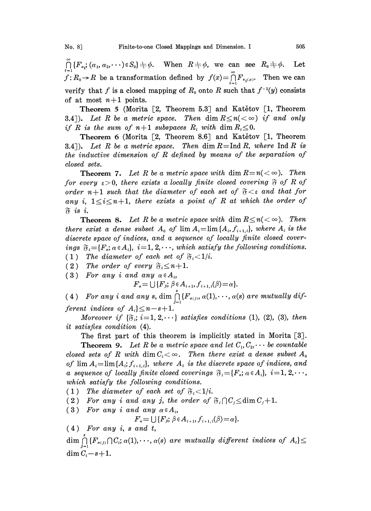${\bigcap_{i=1}^{\infty}} {F_{\alpha_i}}; (\alpha_1, \alpha_2, \dots) \in S_0$   $\Rightarrow \phi$ . When  $R \neq \phi$ , we can see  $R_0 \neq \phi$ . Let  $f: R_0 \to R$  be a transformation defined by  $f(x) = \bigcap_{i=1}^{\infty} F_{\pi_i(x)}$ . Then we can verify that f is a closed mapping of  $R_0$  onto R such that  $f^{-1}(y)$  consists of at most  $n+1$  points.

Theorem 5 (Morita [2, Theorem 5.3] and Katetov [1, Theorem 3.4]). Let R be a metric space. Then dim  $R \leq n \ll \infty$  if and only if R is the sum of  $n+1$  subspaces  $R_i$  with dim  $R_i \leq 0$ .

Theorem 6 (Morita  $[2,$  Theorem 8.6] and Katetov  $[1,$  Theorem 3.4]). Let R be a metric space. Then dim  $R = \text{Ind } R$ , where  $\text{Ind } R$  is the inductive dimension of R defined by means of the separation of closed sets.

**Theorem 7.** Let R be a metric space with dim  $R=n(<\infty)$ . Then for every  $\varepsilon > 0$ , there exists a locally finite closed covering  $\mathfrak F$  of R of order  $n+1$  such that the diameter of each set of  $\mathfrak{F}\leq \varepsilon$  and that for any i,  $1 \le i \le n+1$ , there exists a point of R at which the order of  $\tilde{v}$  is i.

**Theorem 8.** Let R be a metric space with dim  $R \le n \lt \infty$ ). Then there exist a dense subset  $A_0$  of  $\lim A_i = \lim \{A_i, f_{i+1,i}\}\$ , where  $A_i$  is the discrete space of indices, and a sequence of locally finite closed coverings  $\mathfrak{F}_i = \{F_a; \alpha \in A_i\}, i=1, 2, \cdots$ , which satisfy the following conditions.<br>
(1) The diameter of each set of  $\mathfrak{F}_i < 1/i$ .<br>
(2) The order of every  $\mathfrak{F}_i \leq n+1$ .<br>
(3) For any i and any  $\alpha \in A_i$ , (1) The diameter of each set of  $\mathfrak{F}_i < 1/i$ .  $\begin{array}{l} \textit{uscrete space of indices, and a sequ}\ \textit{ups~} \mathfrak{F}_i = \{F_a; \alpha \in A_i\},\ i = 1,\,2,\cdot\cdot\cdot,\ \textit{which}\ 1 \text{)} \quad \textit{The diameter of each set of }\ \mathfrak{F}\ 2 \text{)} \quad \textit{The order of every $\mathfrak{F}_i \leq n+1$.} \end{array}$ 

(3) For any i and any  $\alpha \in A_i$ ,

 $F_a = \bigcup \{F_{\beta}; \ \beta \in A_{i+1}, f_{i+1,i}(\beta) = \alpha\}.$ 

(4) For any i and any s, dim  $\bigcap_{j=1}^{n} \{F_{\alpha(j)}, \alpha(1), \dots, \alpha(s) \text{ are mutually different indices of } A_i\} \leq n-s+1.$ 

Moreover if  $\{\mathfrak{F}_i; i=1, 2, \cdots\}$  satisfies conditions (1), (2), (3), then it satisfies condition (4).

The first part of this theorem is implicitly stated in Morita [3].

**Theorem 9.** Let R be a metric space and let  $C_1, C_2, \cdots$  be countable closed sets of R with dim  $C_i < \infty$ . Then there exist a dense subset  $A_0$ of  $\lim A_i = \lim \{A_i; f_{i+1,i}\},\$  where  $A_i$  is the discrete space of indices, and a sequence of locally finite closed coverings  $\mathfrak{F}_i = \{F_a; \alpha \in A_i\}$ ,  $i = 1, 2, \dots$ ,<br>which satisfy the following conditions.<br>(1) The diameter of each set of  $\mathfrak{F}_i < 1/i$ .<br>(2) For any i and any j, the order of  $\mathfrak{F}_i$ which satisfy the following conditions.

(1) The diameter of each set of  $\mathfrak{F}_i < 1/i$ .

(2) For any i and any j, the order of  $\mathfrak{F}_i \cap C_i \leq \dim C_i+1$ .

(3) For any i and any  $\alpha \in A_i$ ,

$$
F_{\alpha} = \bigcup \{F_{\beta}; \ \beta \in A_{i+1}, f_{i+1,i}(\beta) = \alpha\}.
$$

 $(4)$  For any i, s and t,

 $\dim \bigcap_{i=1}^s \{F_{\alpha(j)} \cap C_i; \alpha(1), \dots, \alpha(s) \text{ are mutually different indices of } A_i\}$ dim  $C_i-s+1$ .